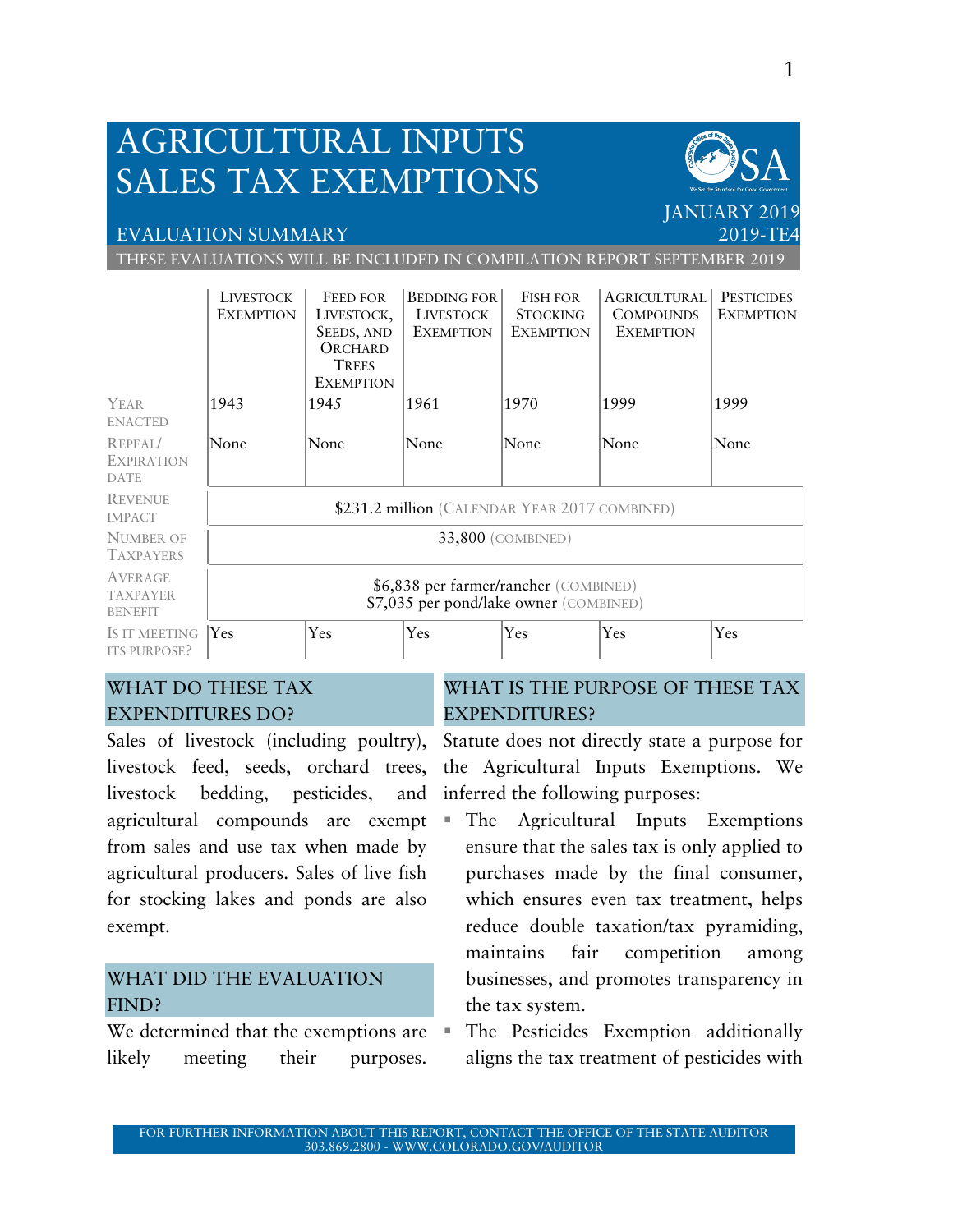## AGRICULTURAL INPUTS SALES TAX EXEMPTIONS

## EVALUATION SUMMARY

THESE EVALUATIONS WILL BE INCLUDED IN COMPILATION REPORT SEPTEMBER 2019

|                                              | <b>LIVESTOCK</b><br><b>EXEMPTION</b>                                            | <b>FEED FOR</b><br>LIVESTOCK,<br>SEEDS, AND<br>ORCHARD<br><b>TREES</b><br><b>EXEMPTION</b> | <b>BEDDING FOR</b><br>LIVESTOCK<br><b>EXEMPTION</b> | <b>FISH FOR</b><br><b>STOCKING</b><br><b>EXEMPTION</b> | <b>AGRICULTURAL</b><br><b>COMPOUNDS</b><br><b>EXEMPTION</b> | <b>PESTICIDES</b><br><b>EXEMPTION</b> |  |  |
|----------------------------------------------|---------------------------------------------------------------------------------|--------------------------------------------------------------------------------------------|-----------------------------------------------------|--------------------------------------------------------|-------------------------------------------------------------|---------------------------------------|--|--|
| YEAR                                         | 1943                                                                            | 1945                                                                                       | 1961                                                | 1970                                                   | 1999                                                        | 1999                                  |  |  |
| <b>ENACTED</b>                               |                                                                                 |                                                                                            |                                                     |                                                        |                                                             |                                       |  |  |
| REPEAI/<br><b>EXPIRATION</b><br>DATE         | None                                                                            | None                                                                                       | None                                                | None                                                   | None                                                        | None                                  |  |  |
| <b>REVENUE</b><br><b>IMPACT</b>              | \$231.2 million (CALENDAR YEAR 2017 COMBINED)                                   |                                                                                            |                                                     |                                                        |                                                             |                                       |  |  |
| <b>NUMBER OF</b><br><b>TAXPAYERS</b>         | 33,800 (COMBINED)                                                               |                                                                                            |                                                     |                                                        |                                                             |                                       |  |  |
| AVERAGE<br><b>TAXPAYER</b><br><b>BENEFIT</b> | \$6,838 per farmer/rancher (COMBINED)<br>\$7,035 per pond/lake owner (COMBINED) |                                                                                            |                                                     |                                                        |                                                             |                                       |  |  |
| IS IT MEETING<br><b>ITS PURPOSE?</b>         | <b>Yes</b>                                                                      | Yes                                                                                        | Yes                                                 | Yes                                                    | Yes                                                         | Yes                                   |  |  |

## WHAT DO THESE TAX EXPENDITURES DO?

Sales of livestock (including poultry), livestock feed, seeds, orchard trees, livestock bedding, pesticides, and agricultural compounds are exempt from sales and use tax when made by agricultural producers. Sales of live fish for stocking lakes and ponds are also exempt.

## WHAT DID THE EVALUATION FIND?

We determined that the exemptions are  $\blacksquare$ likely meeting their purposes.

## WHAT IS THE PURPOSE OF THESE TAX EXPENDITURES?

Statute does not directly state a purpose for the Agricultural Inputs Exemptions. We inferred the following purposes:

- The Agricultural Inputs Exemptions ensure that the sales tax is only applied to purchases made by the final consumer, which ensures even tax treatment, helps reduce double taxation/tax pyramiding, maintains fair competition among businesses, and promotes transparency in the tax system.
- The Pesticides Exemption additionally aligns the tax treatment of pesticides with

**JANUARY 201** 

2019-TE4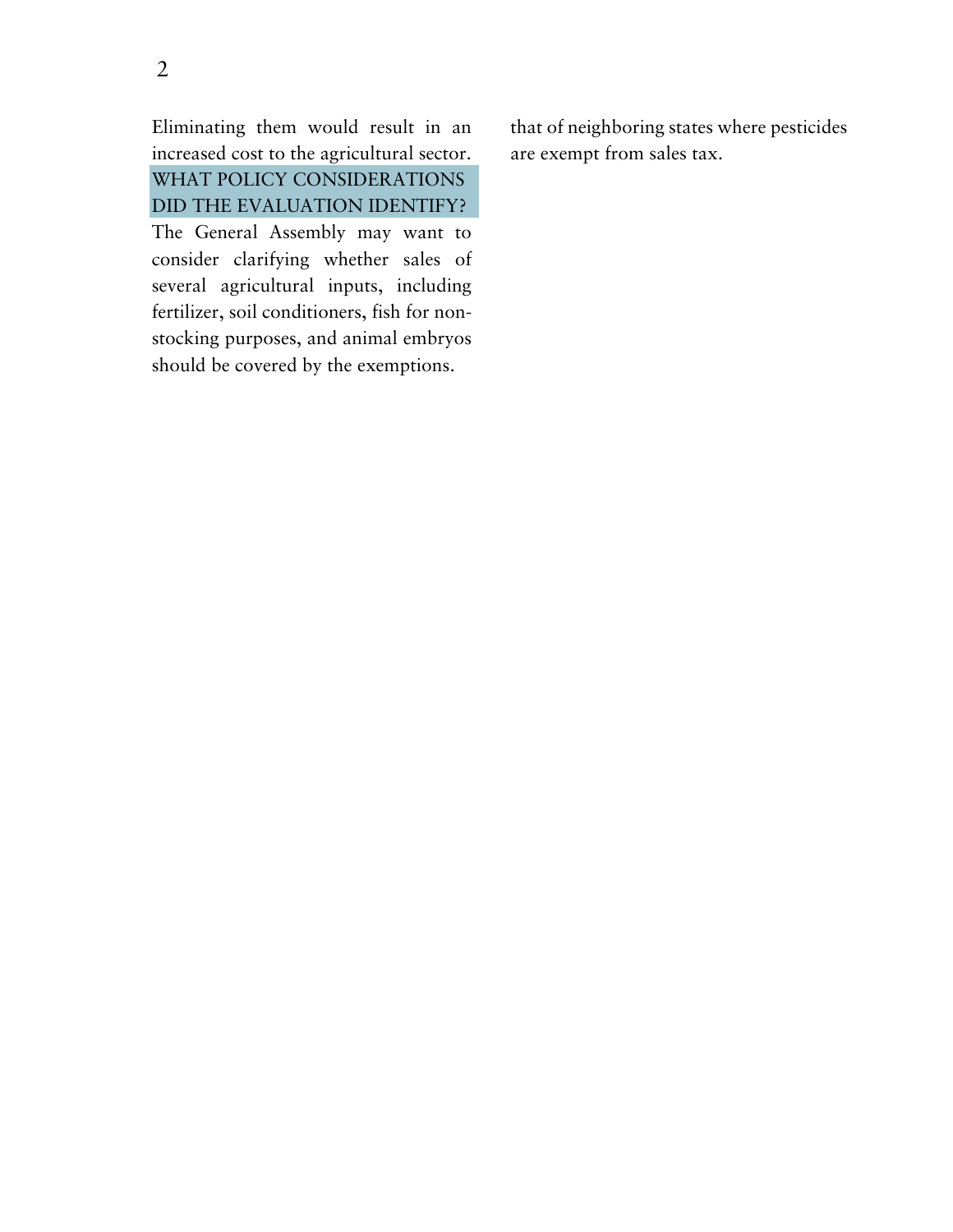Eliminating them would result in an increased cost to the agricultural sector. WHAT POLICY CONSIDERATIONS DID THE EVALUATION IDENTIFY? The General Assembly may want to consider clarifying whether sales of several agricultural inputs, including fertilizer, soil conditioners, fish for non-

stocking purposes, and animal embryos should be covered by the exemptions.

that of neighboring states where pesticides are exempt from sales tax.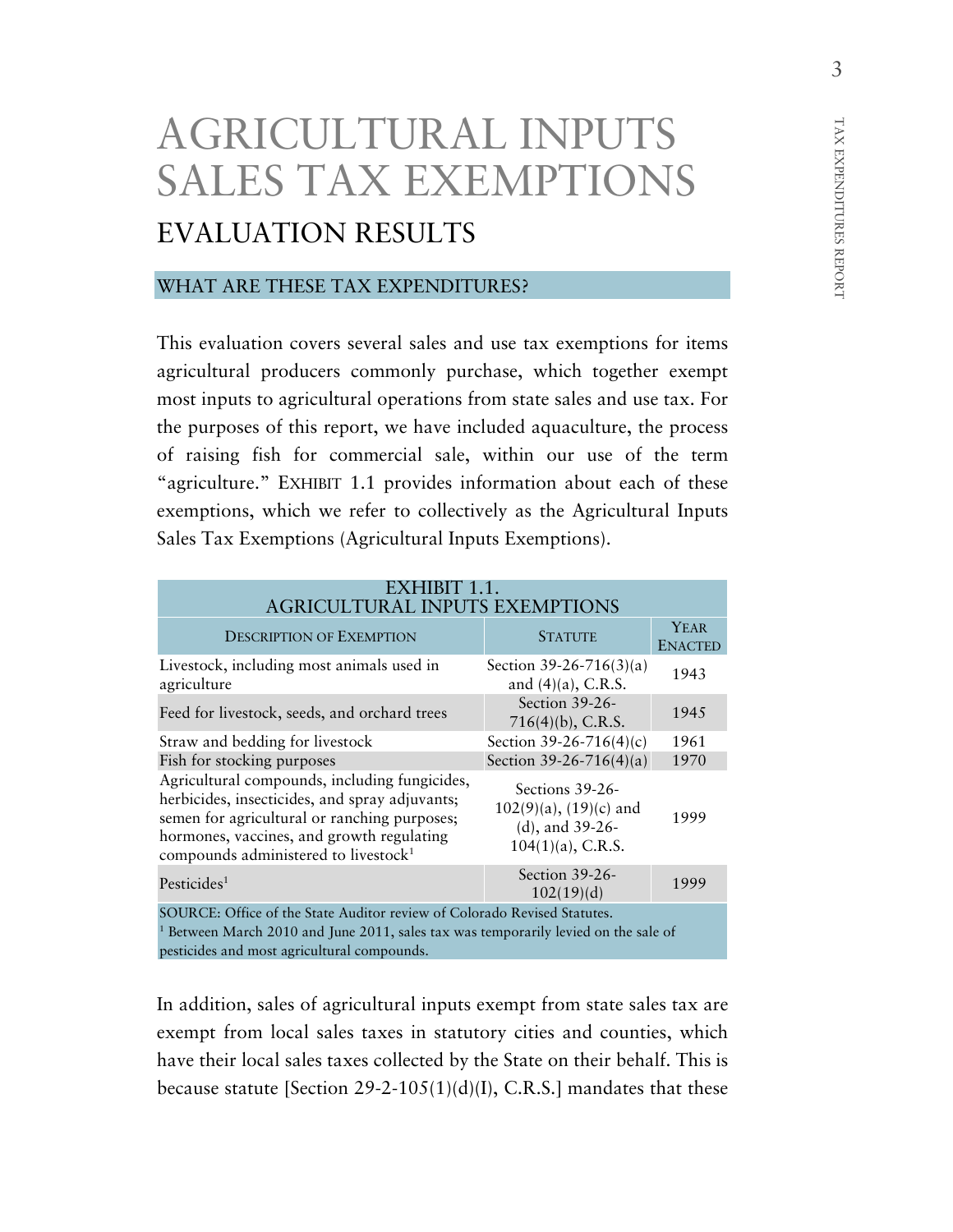# AGRICULTURAL INPUTS SALES TAX EXEMPTIONS EVALUATION RESULTS

## WHAT ARE THESE TAX EXPENDITURES?

This evaluation covers several sales and use tax exemptions for items agricultural producers commonly purchase, which together exempt most inputs to agricultural operations from state sales and use tax. For the purposes of this report, we have included aquaculture, the process of raising fish for commercial sale, within our use of the term "agriculture." EXHIBIT 1.1 provides information about each of these exemptions, which we refer to collectively as the Agricultural Inputs Sales Tax Exemptions (Agricultural Inputs Exemptions).

| EXHIBIT 1.1.<br><b>AGRICULTURAL INPUTS EXEMPTIONS</b>                                                                                                                                                                                            |                                                                                           |                               |  |  |  |  |
|--------------------------------------------------------------------------------------------------------------------------------------------------------------------------------------------------------------------------------------------------|-------------------------------------------------------------------------------------------|-------------------------------|--|--|--|--|
| <b>DESCRIPTION OF EXEMPTION</b>                                                                                                                                                                                                                  | <b>STATUTE</b>                                                                            | <b>YEAR</b><br><b>ENACTED</b> |  |  |  |  |
| Livestock, including most animals used in<br>agriculture                                                                                                                                                                                         | Section 39-26-716(3)(a)<br>and $(4)(a)$ , C.R.S.                                          | 1943                          |  |  |  |  |
| Feed for livestock, seeds, and orchard trees                                                                                                                                                                                                     | Section 39-26-<br>$716(4)(b)$ , C.R.S.                                                    | 1945                          |  |  |  |  |
| Straw and bedding for livestock                                                                                                                                                                                                                  | Section 39-26-716(4)(c)                                                                   | 1961                          |  |  |  |  |
| Fish for stocking purposes                                                                                                                                                                                                                       | Section 39-26-716(4)(a)                                                                   | 1970                          |  |  |  |  |
| Agricultural compounds, including fungicides,<br>herbicides, insecticides, and spray adjuvants;<br>semen for agricultural or ranching purposes;<br>hormones, vaccines, and growth regulating<br>compounds administered to livestock <sup>1</sup> | Sections 39-26-<br>$102(9)(a)$ , $(19)(c)$ and<br>(d), and 39-26-<br>$104(1)(a)$ , C.R.S. | 1999                          |  |  |  |  |
| Pesticides <sup>1</sup>                                                                                                                                                                                                                          | Section 39-26-<br>102(19)(d)                                                              | 1999                          |  |  |  |  |
| SOURCE: Office of the State Auditor review of Colorado Revised Statutes.<br><sup>1</sup> Between March 2010 and June 2011, sales tax was temporarily levied on the sale of<br>pesticides and most agricultural compounds.                        |                                                                                           |                               |  |  |  |  |

In addition, sales of agricultural inputs exempt from state sales tax are exempt from local sales taxes in statutory cities and counties, which have their local sales taxes collected by the State on their behalf. This is because statute [Section 29-2-105(1)(d)(I), C.R.S.] mandates that these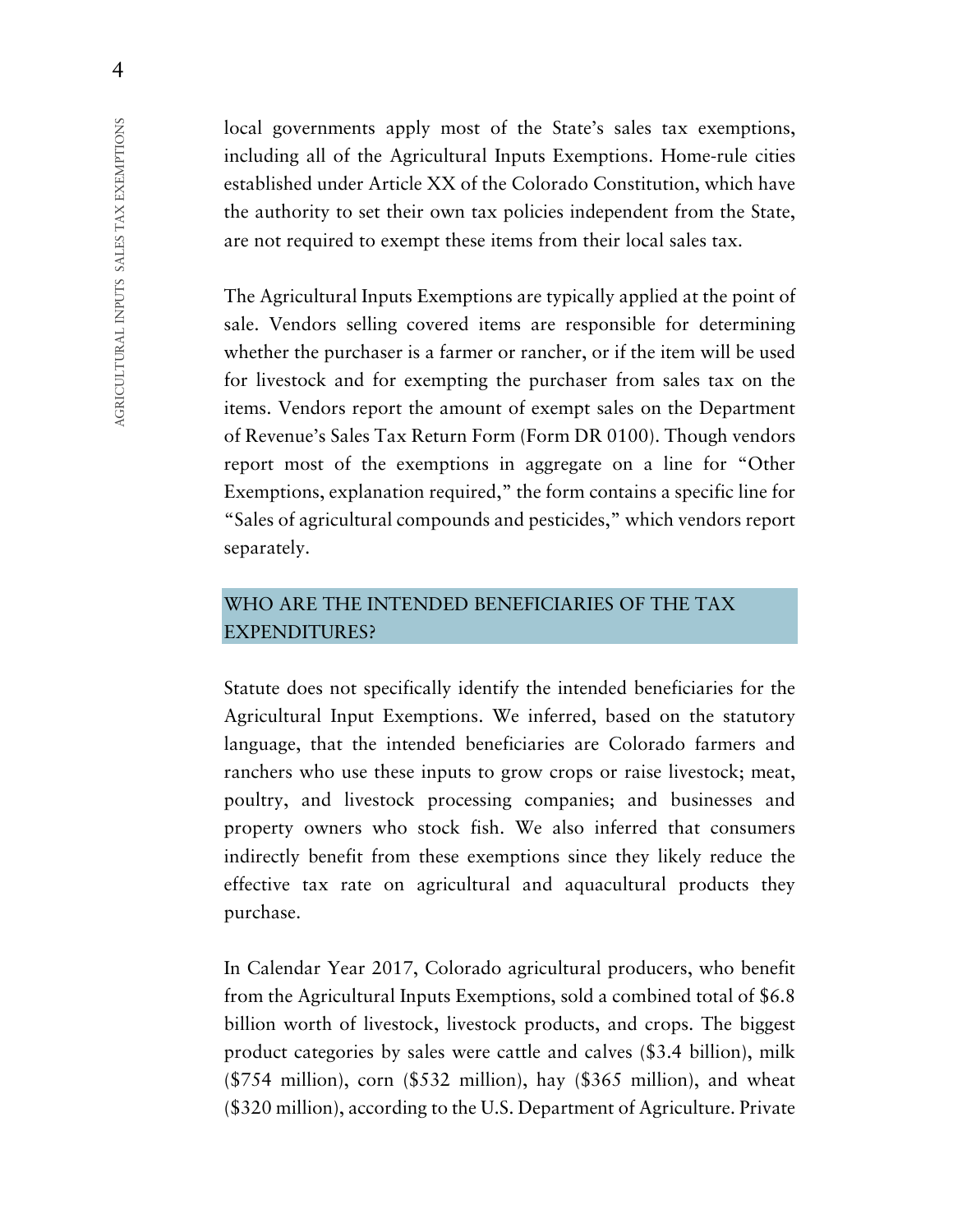local governments apply most of the State's sales tax exemptions, including all of the Agricultural Inputs Exemptions. Home-rule cities established under Article XX of the Colorado Constitution, which have the authority to set their own tax policies independent from the State, are not required to exempt these items from their local sales tax.

The Agricultural Inputs Exemptions are typically applied at the point of sale. Vendors selling covered items are responsible for determining whether the purchaser is a farmer or rancher, or if the item will be used for livestock and for exempting the purchaser from sales tax on the items. Vendors report the amount of exempt sales on the Department of Revenue's Sales Tax Return Form (Form DR 0100). Though vendors report most of the exemptions in aggregate on a line for "Other Exemptions, explanation required," the form contains a specific line for "Sales of agricultural compounds and pesticides," which vendors report separately.

## WHO ARE THE INTENDED BENEFICIARIES OF THE TAX EXPENDITURES?

Statute does not specifically identify the intended beneficiaries for the Agricultural Input Exemptions. We inferred, based on the statutory language, that the intended beneficiaries are Colorado farmers and ranchers who use these inputs to grow crops or raise livestock; meat, poultry, and livestock processing companies; and businesses and property owners who stock fish. We also inferred that consumers indirectly benefit from these exemptions since they likely reduce the effective tax rate on agricultural and aquacultural products they purchase.

In Calendar Year 2017, Colorado agricultural producers, who benefit from the Agricultural Inputs Exemptions, sold a combined total of \$6.8 billion worth of livestock, livestock products, and crops. The biggest product categories by sales were cattle and calves (\$3.4 billion), milk  $($754 \text{ million})$ , corn  $($532 \text{ million})$ , hay  $($365 \text{ million})$ , and wheat (\$320 million), according to the U.S. Department of Agriculture. Private

4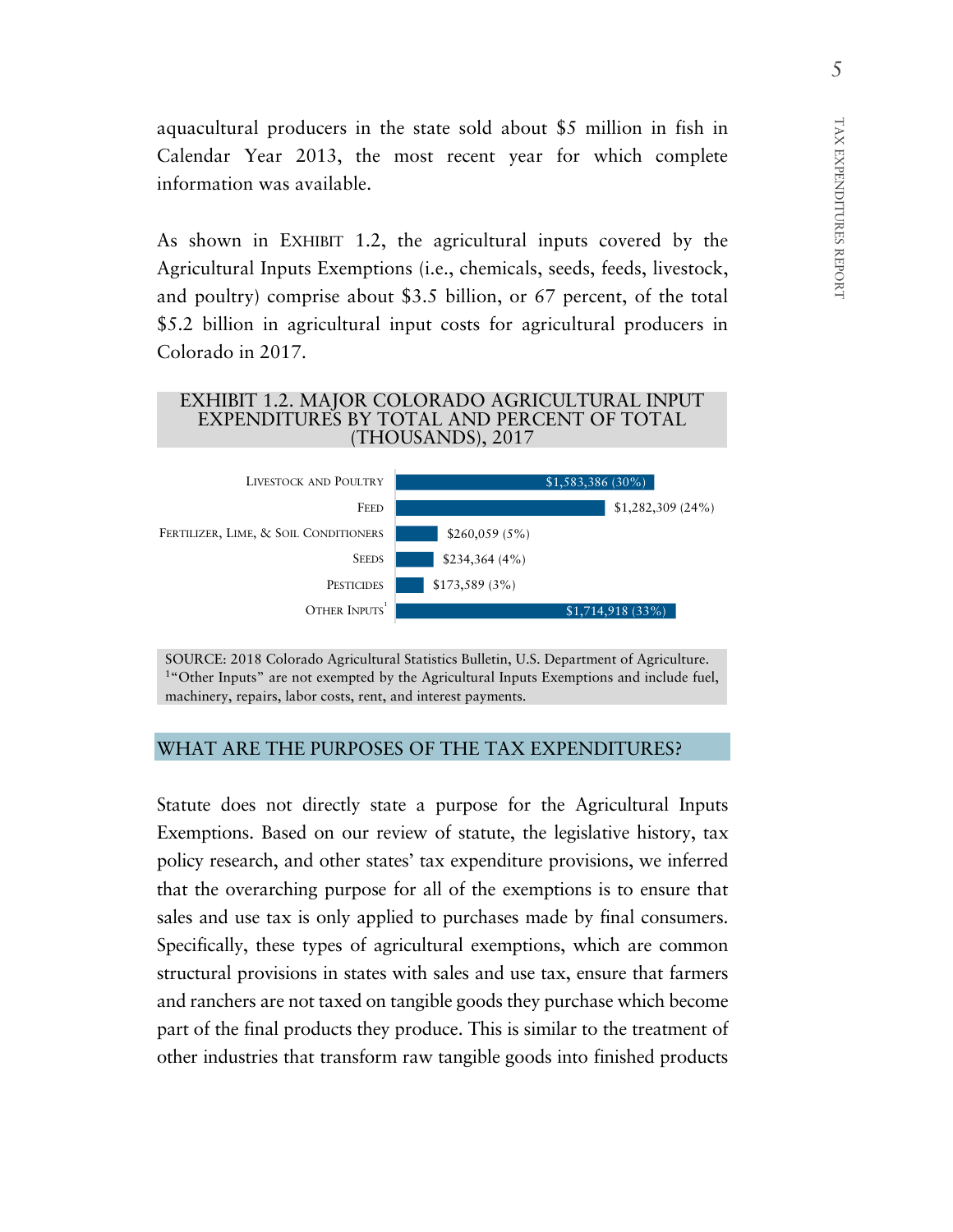aquacultural producers in the state sold about \$5 million in fish in Calendar Year 2013, the most recent year for which complete information was available.

As shown in EXHIBIT 1.2, the agricultural inputs covered by the Agricultural Inputs Exemptions (i.e., chemicals, seeds, feeds, livestock, and poultry) comprise about \$3.5 billion, or 67 percent, of the total \$5.2 billion in agricultural input costs for agricultural producers in Colorado in 2017.

#### EXHIBIT 1.2. MAJOR COLORADO AGRICULTURAL INPUT EXPENDITURES BY TOTAL AND PERCENT OF TOTAL (THOUSANDS), 2017



SOURCE: 2018 Colorado Agricultural Statistics Bulletin, U.S. Department of Agriculture. <sup>1</sup>"Other Inputs" are not exempted by the Agricultural Inputs Exemptions and include fuel, machinery, repairs, labor costs, rent, and interest payments.

## WHAT ARE THE PURPOSES OF THE TAX EXPENDITURES?

Statute does not directly state a purpose for the Agricultural Inputs Exemptions. Based on our review of statute, the legislative history, tax policy research, and other states' tax expenditure provisions, we inferred that the overarching purpose for all of the exemptions is to ensure that sales and use tax is only applied to purchases made by final consumers. Specifically, these types of agricultural exemptions, which are common structural provisions in states with sales and use tax, ensure that farmers and ranchers are not taxed on tangible goods they purchase which become part of the final products they produce. This is similar to the treatment of other industries that transform raw tangible goods into finished products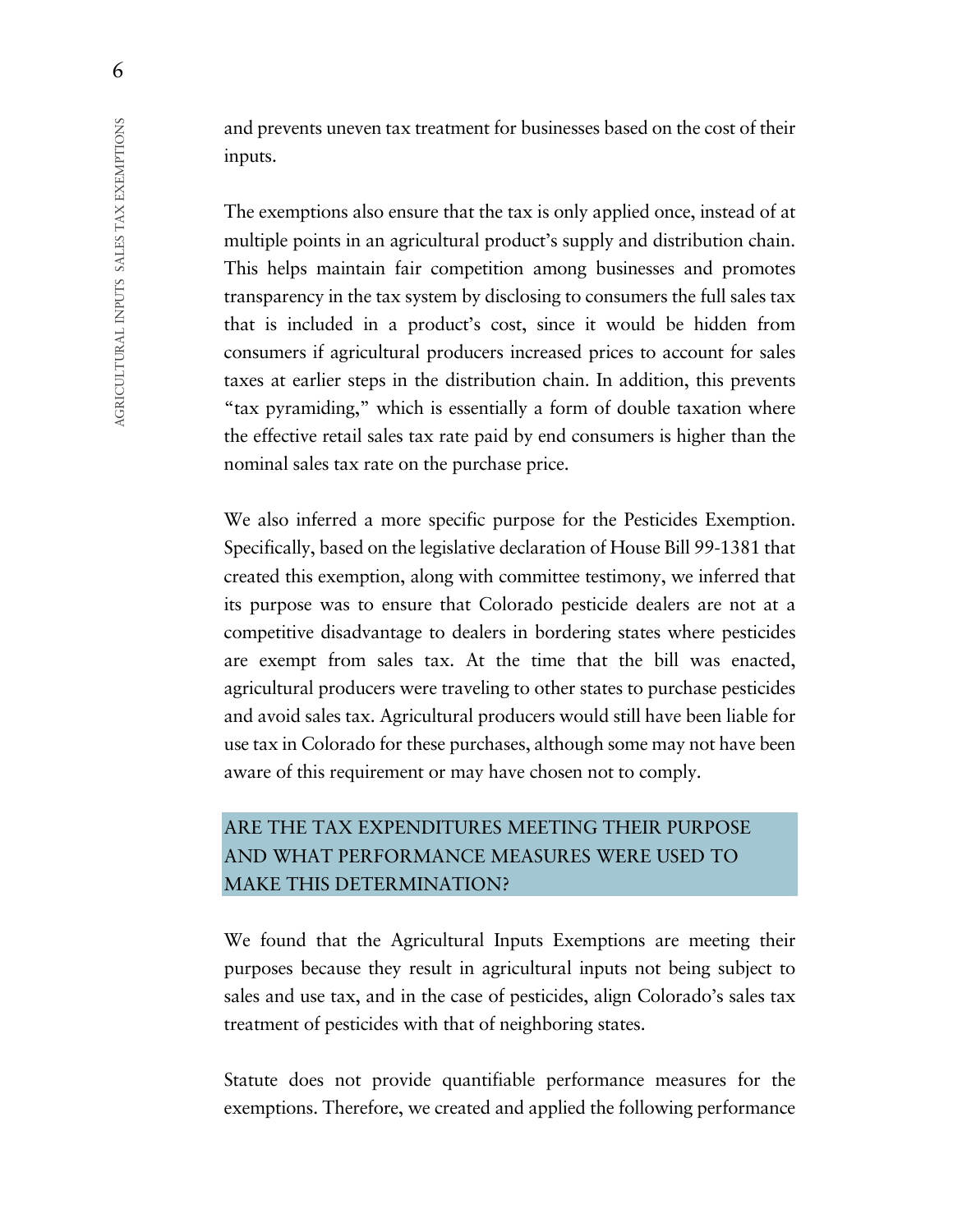and prevents uneven tax treatment for businesses based on the cost of their inputs.

The exemptions also ensure that the tax is only applied once, instead of at multiple points in an agricultural product's supply and distribution chain. This helps maintain fair competition among businesses and promotes transparency in the tax system by disclosing to consumers the full sales tax that is included in a product's cost, since it would be hidden from consumers if agricultural producers increased prices to account for sales taxes at earlier steps in the distribution chain. In addition, this prevents "tax pyramiding," which is essentially a form of double taxation where the effective retail sales tax rate paid by end consumers is higher than the nominal sales tax rate on the purchase price.

We also inferred a more specific purpose for the Pesticides Exemption. Specifically, based on the legislative declaration of House Bill 99-1381 that created this exemption, along with committee testimony, we inferred that its purpose was to ensure that Colorado pesticide dealers are not at a competitive disadvantage to dealers in bordering states where pesticides are exempt from sales tax. At the time that the bill was enacted, agricultural producers were traveling to other states to purchase pesticides and avoid sales tax. Agricultural producers would still have been liable for use tax in Colorado for these purchases, although some may not have been aware of this requirement or may have chosen not to comply.

## ARE THE TAX EXPENDITURES MEETING THEIR PURPOSE AND WHAT PERFORMANCE MEASURES WERE USED TO MAKE THIS DETERMINATION?

We found that the Agricultural Inputs Exemptions are meeting their purposes because they result in agricultural inputs not being subject to sales and use tax, and in the case of pesticides, align Colorado's sales tax treatment of pesticides with that of neighboring states.

Statute does not provide quantifiable performance measures for the exemptions. Therefore, we created and applied the following performance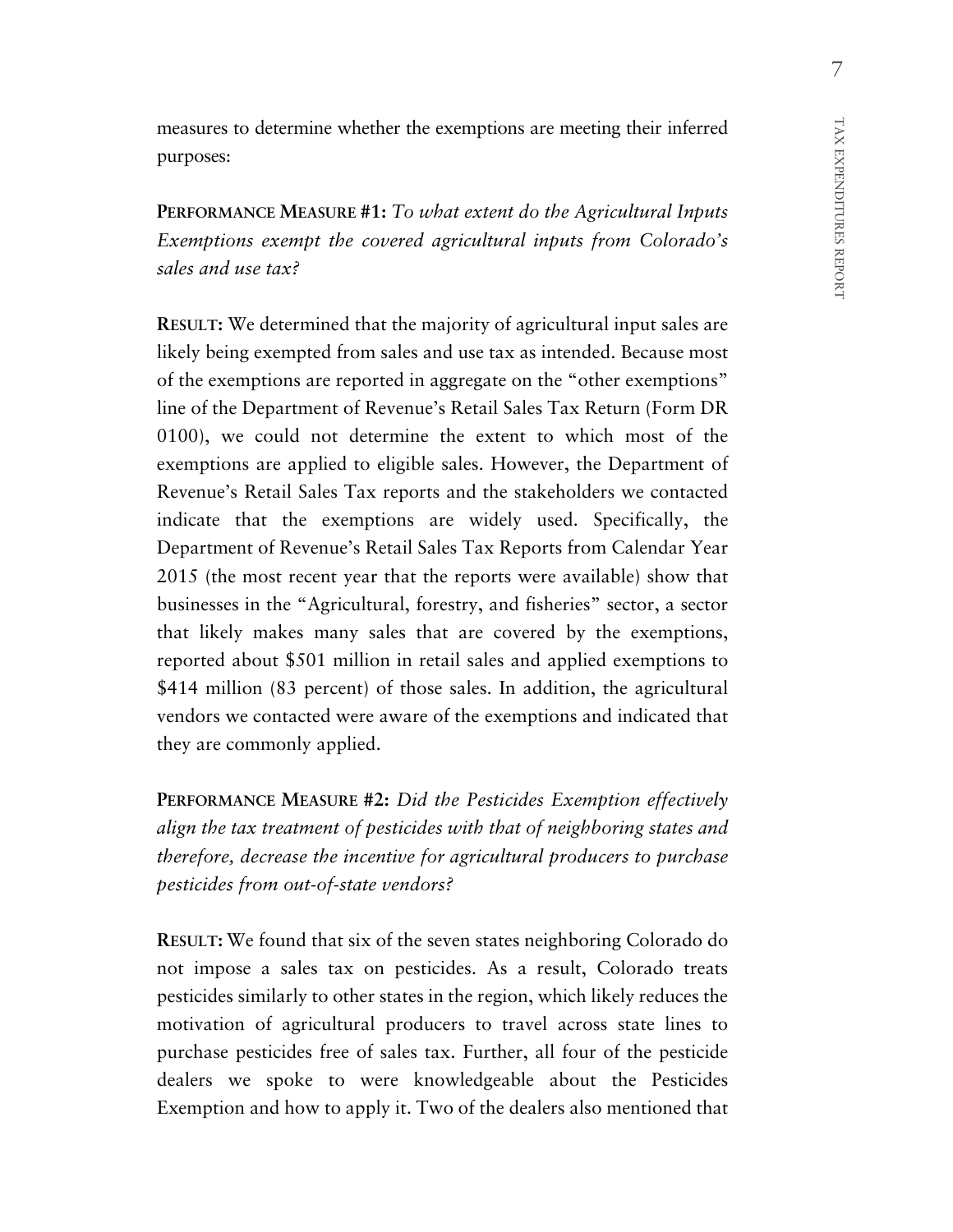measures to determine whether the exemptions are meeting their inferred purposes:

**PERFORMANCE MEASURE #1:** *To what extent do the Agricultural Inputs Exemptions exempt the covered agricultural inputs from Colorado's sales and use tax?*

**RESULT:** We determined that the majority of agricultural input sales are likely being exempted from sales and use tax as intended. Because most of the exemptions are reported in aggregate on the "other exemptions" line of the Department of Revenue's Retail Sales Tax Return (Form DR 0100), we could not determine the extent to which most of the exemptions are applied to eligible sales. However, the Department of Revenue's Retail Sales Tax reports and the stakeholders we contacted indicate that the exemptions are widely used. Specifically, the Department of Revenue's Retail Sales Tax Reports from Calendar Year 2015 (the most recent year that the reports were available) show that businesses in the "Agricultural, forestry, and fisheries" sector, a sector that likely makes many sales that are covered by the exemptions, reported about \$501 million in retail sales and applied exemptions to \$414 million (83 percent) of those sales. In addition, the agricultural vendors we contacted were aware of the exemptions and indicated that they are commonly applied.

**PERFORMANCE MEASURE #2:** *Did the Pesticides Exemption effectively align the tax treatment of pesticides with that of neighboring states and therefore, decrease the incentive for agricultural producers to purchase pesticides from out-of-state vendors?*

**RESULT:** We found that six of the seven states neighboring Colorado do not impose a sales tax on pesticides. As a result, Colorado treats pesticides similarly to other states in the region, which likely reduces the motivation of agricultural producers to travel across state lines to purchase pesticides free of sales tax. Further, all four of the pesticide dealers we spoke to were knowledgeable about the Pesticides Exemption and how to apply it. Two of the dealers also mentioned that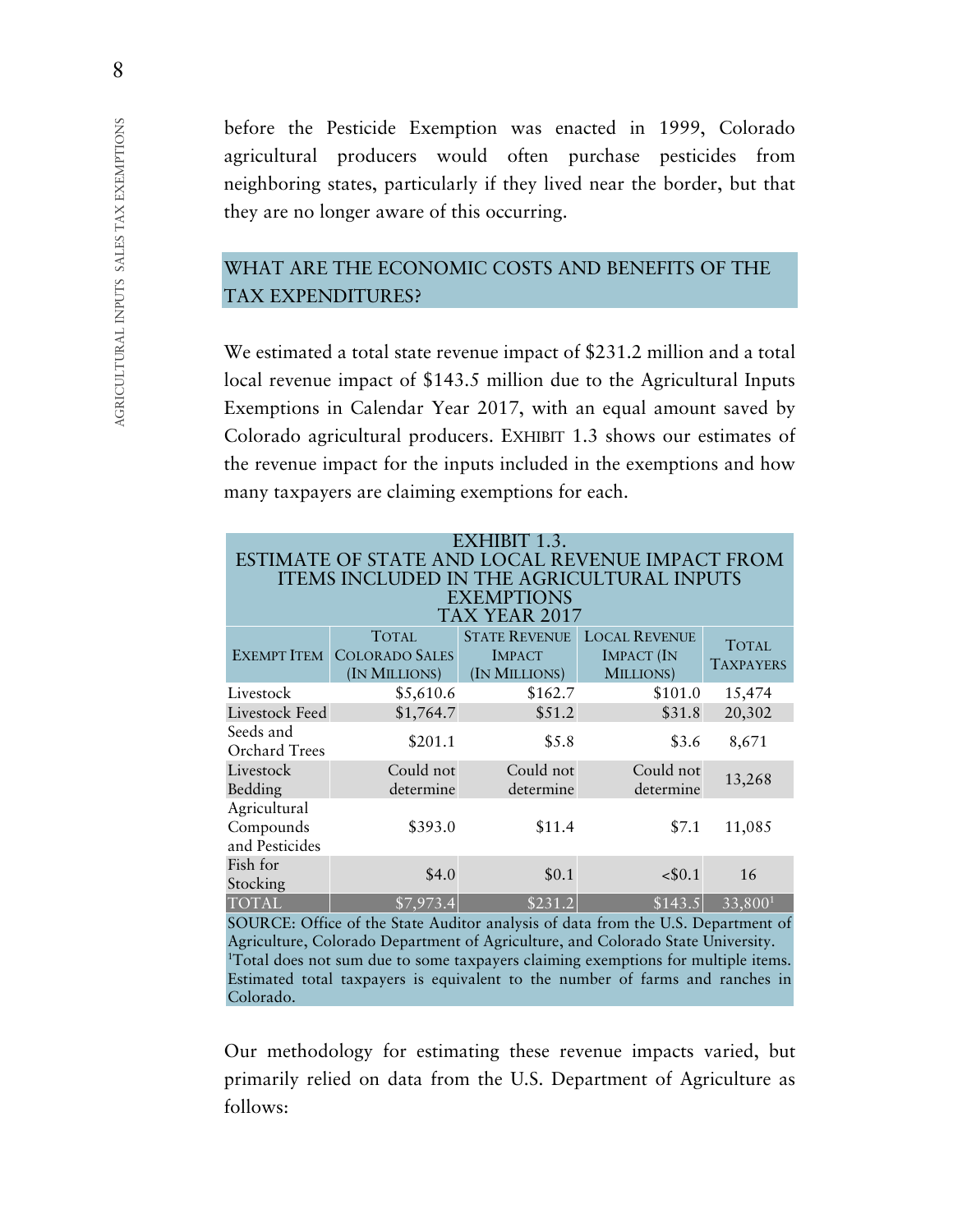before the Pesticide Exemption was enacted in 1999, Colorado agricultural producers would often purchase pesticides from neighboring states, particularly if they lived near the border, but that they are no longer aware of this occurring.

## WHAT ARE THE ECONOMIC COSTS AND BENEFITS OF THE TAX EXPENDITURES?

We estimated a total state revenue impact of \$231.2 million and a total local revenue impact of \$143.5 million due to the Agricultural Inputs Exemptions in Calendar Year 2017, with an equal amount saved by Colorado agricultural producers. EXHIBIT 1.3 shows our estimates of the revenue impact for the inputs included in the exemptions and how many taxpayers are claiming exemptions for each.

| EXHIBIT 1.3.<br>ESTIMATE OF STATE AND LOCAL REVENUE IMPACT FROM<br><b>ITEMS INCLUDED IN THE AGRICULTURAL INPUTS</b><br><b>EXEMPTIONS</b><br>TAX YEAR 2017 |                                                        |                                                        |                                                        |                                  |  |  |  |  |  |
|-----------------------------------------------------------------------------------------------------------------------------------------------------------|--------------------------------------------------------|--------------------------------------------------------|--------------------------------------------------------|----------------------------------|--|--|--|--|--|
| <b>EXEMPT ITEM</b>                                                                                                                                        | <b>TOTAL</b><br><b>COLORADO SALES</b><br>(IN MILLIONS) | <b>STATE REVENUE</b><br><b>IMPACT</b><br>(IN MILLIONS) | <b>LOCAL REVENUE</b><br><b>IMPACT</b> (IN<br>MILLIONS) | <b>TOTAL</b><br><b>TAXPAYERS</b> |  |  |  |  |  |
| Livestock                                                                                                                                                 | \$5,610.6                                              | \$162.7                                                | \$101.0                                                | 15,474                           |  |  |  |  |  |
| Livestock Feed                                                                                                                                            | \$1,764.7                                              | \$51.2                                                 | \$31.8                                                 | 20,302                           |  |  |  |  |  |
| Seeds and<br><b>Orchard Trees</b>                                                                                                                         | \$201.1                                                | \$5.8                                                  | \$3.6                                                  | 8,671                            |  |  |  |  |  |
| Livestock<br>Bedding                                                                                                                                      | Could not<br>determine                                 | Could not<br>determine                                 | Could not<br>determine                                 | 13,268                           |  |  |  |  |  |
| Agricultural<br>Compounds<br>and Pesticides                                                                                                               | \$393.0                                                | \$11.4                                                 | \$7.1                                                  | 11,085                           |  |  |  |  |  |
| Fish for<br>Stocking                                                                                                                                      | \$4.0                                                  | \$0.1                                                  | < \$0.1                                                | 16                               |  |  |  |  |  |
| <b>TOTAL</b>                                                                                                                                              | \$7,973.4                                              | \$231.2                                                | \$143.5                                                | 33,800 <sup>1</sup>              |  |  |  |  |  |

SOURCE: Office of the State Auditor analysis of data from the U.S. Department of Agriculture, Colorado Department of Agriculture, and Colorado State University. 1 Total does not sum due to some taxpayers claiming exemptions for multiple items. Estimated total taxpayers is equivalent to the number of farms and ranches in Colorado.

Our methodology for estimating these revenue impacts varied, but primarily relied on data from the U.S. Department of Agriculture as follows:

8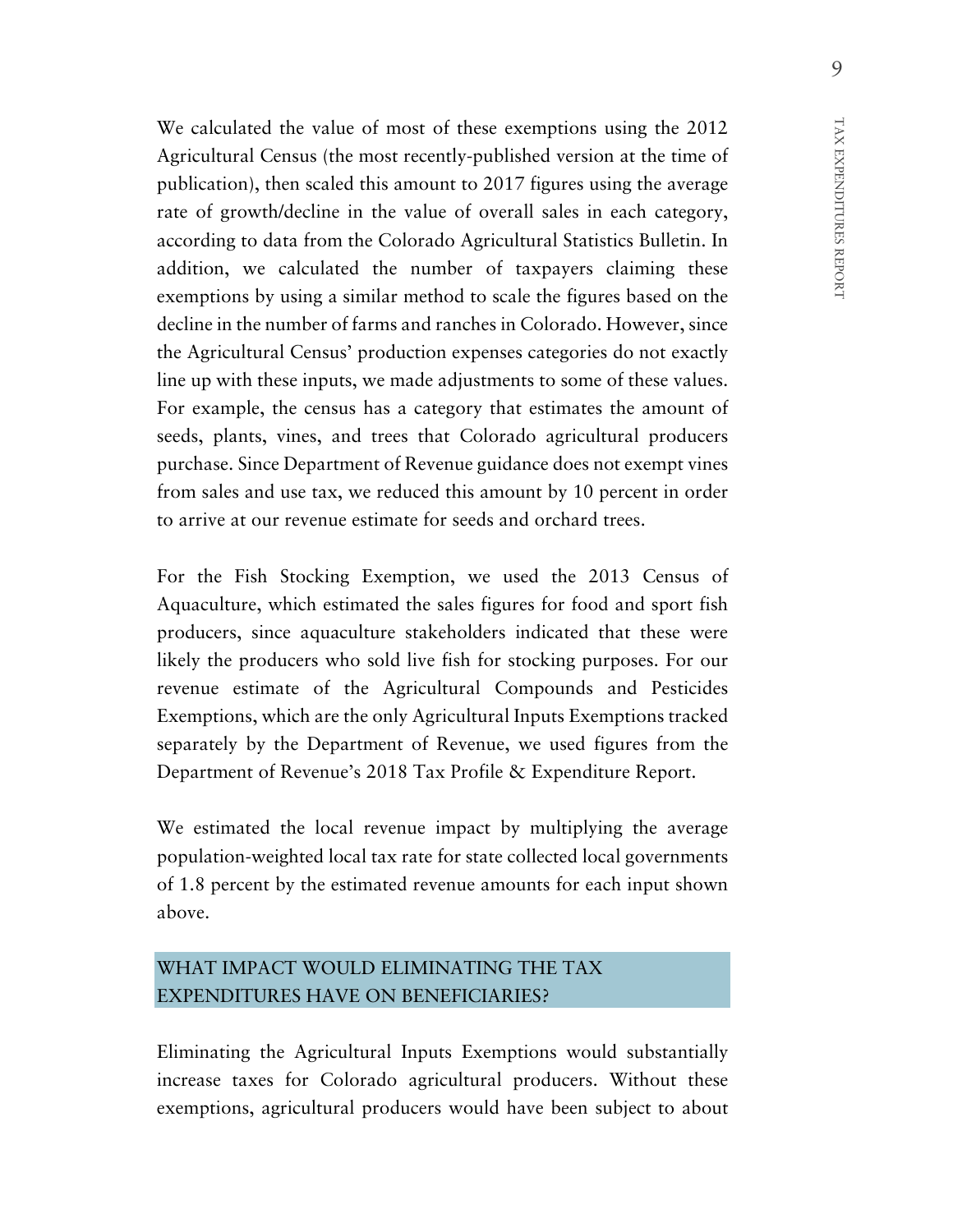We calculated the value of most of these exemptions using the 2012 Agricultural Census (the most recently-published version at the time of publication), then scaled this amount to 2017 figures using the average rate of growth/decline in the value of overall sales in each category, according to data from the Colorado Agricultural Statistics Bulletin. In addition, we calculated the number of taxpayers claiming these exemptions by using a similar method to scale the figures based on the decline in the number of farms and ranches in Colorado. However, since the Agricultural Census' production expenses categories do not exactly line up with these inputs, we made adjustments to some of these values. For example, the census has a category that estimates the amount of seeds, plants, vines, and trees that Colorado agricultural producers purchase. Since Department of Revenue guidance does not exempt vines from sales and use tax, we reduced this amount by 10 percent in order to arrive at our revenue estimate for seeds and orchard trees.

For the Fish Stocking Exemption, we used the 2013 Census of Aquaculture, which estimated the sales figures for food and sport fish producers, since aquaculture stakeholders indicated that these were likely the producers who sold live fish for stocking purposes. For our revenue estimate of the Agricultural Compounds and Pesticides Exemptions, which are the only Agricultural Inputs Exemptions tracked separately by the Department of Revenue, we used figures from the Department of Revenue's 2018 Tax Profile & Expenditure Report.

We estimated the local revenue impact by multiplying the average population-weighted local tax rate for state collected local governments of 1.8 percent by the estimated revenue amounts for each input shown above.

## WHAT IMPACT WOULD ELIMINATING THE TAX EXPENDITURES HAVE ON BENEFICIARIES?

Eliminating the Agricultural Inputs Exemptions would substantially increase taxes for Colorado agricultural producers. Without these exemptions, agricultural producers would have been subject to about TAX EXPENDITURES REPORT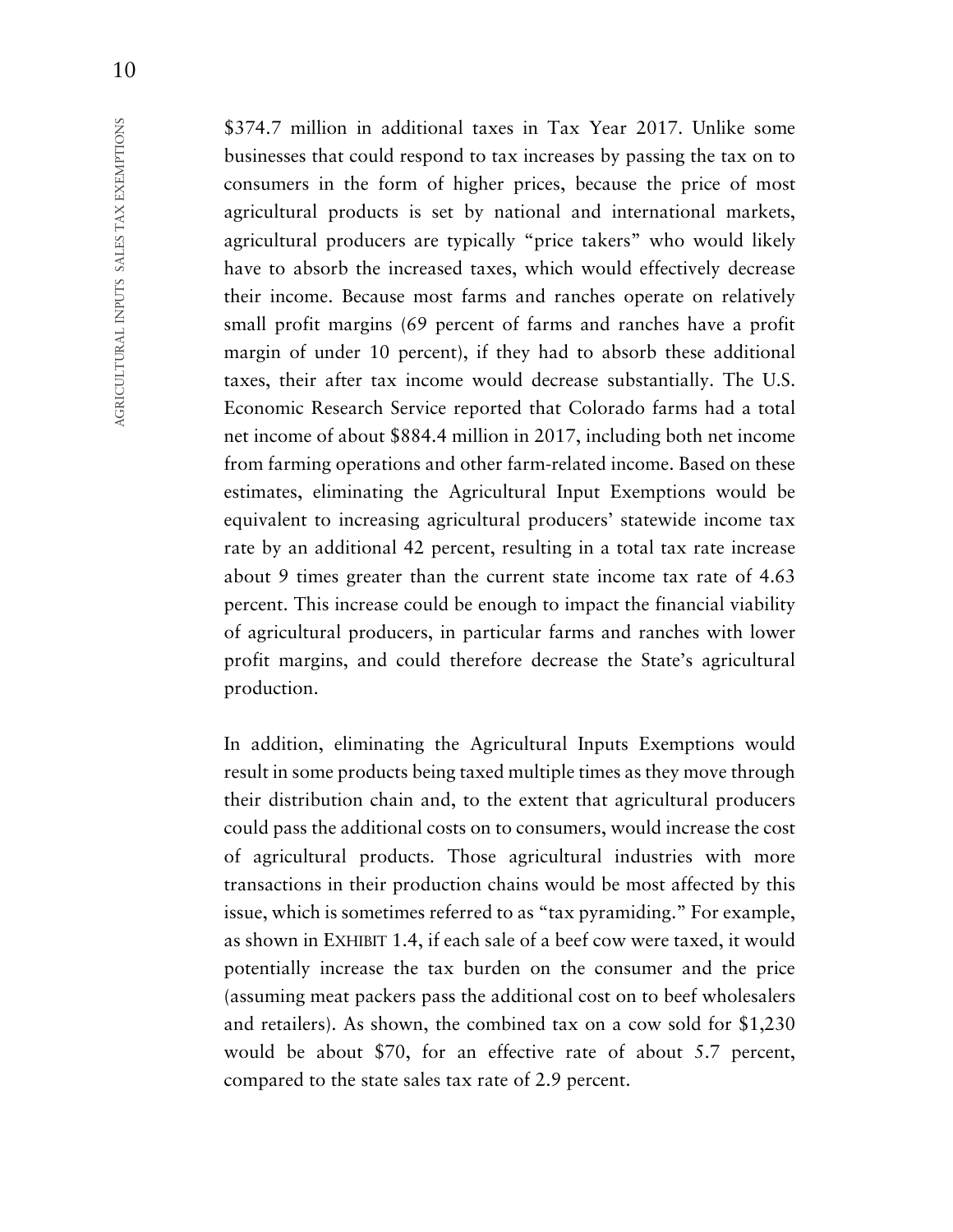\$374.7 million in additional taxes in Tax Year 2017. Unlike some businesses that could respond to tax increases by passing the tax on to consumers in the form of higher prices, because the price of most agricultural products is set by national and international markets, agricultural producers are typically "price takers" who would likely have to absorb the increased taxes, which would effectively decrease their income. Because most farms and ranches operate on relatively small profit margins (69 percent of farms and ranches have a profit margin of under 10 percent), if they had to absorb these additional taxes, their after tax income would decrease substantially. The U.S. Economic Research Service reported that Colorado farms had a total net income of about \$884.4 million in 2017, including both net income from farming operations and other farm-related income. Based on these estimates, eliminating the Agricultural Input Exemptions would be equivalent to increasing agricultural producers' statewide income tax rate by an additional 42 percent, resulting in a total tax rate increase about 9 times greater than the current state income tax rate of 4.63 percent. This increase could be enough to impact the financial viability of agricultural producers, in particular farms and ranches with lower profit margins, and could therefore decrease the State's agricultural production.

In addition, eliminating the Agricultural Inputs Exemptions would result in some products being taxed multiple times as they move through their distribution chain and, to the extent that agricultural producers could pass the additional costs on to consumers, would increase the cost of agricultural products. Those agricultural industries with more transactions in their production chains would be most affected by this issue, which is sometimes referred to as "tax pyramiding." For example, as shown in EXHIBIT 1.4, if each sale of a beef cow were taxed, it would potentially increase the tax burden on the consumer and the price (assuming meat packers pass the additional cost on to beef wholesalers and retailers). As shown, the combined tax on a cow sold for \$1,230 would be about \$70, for an effective rate of about 5.7 percent, compared to the state sales tax rate of 2.9 percent.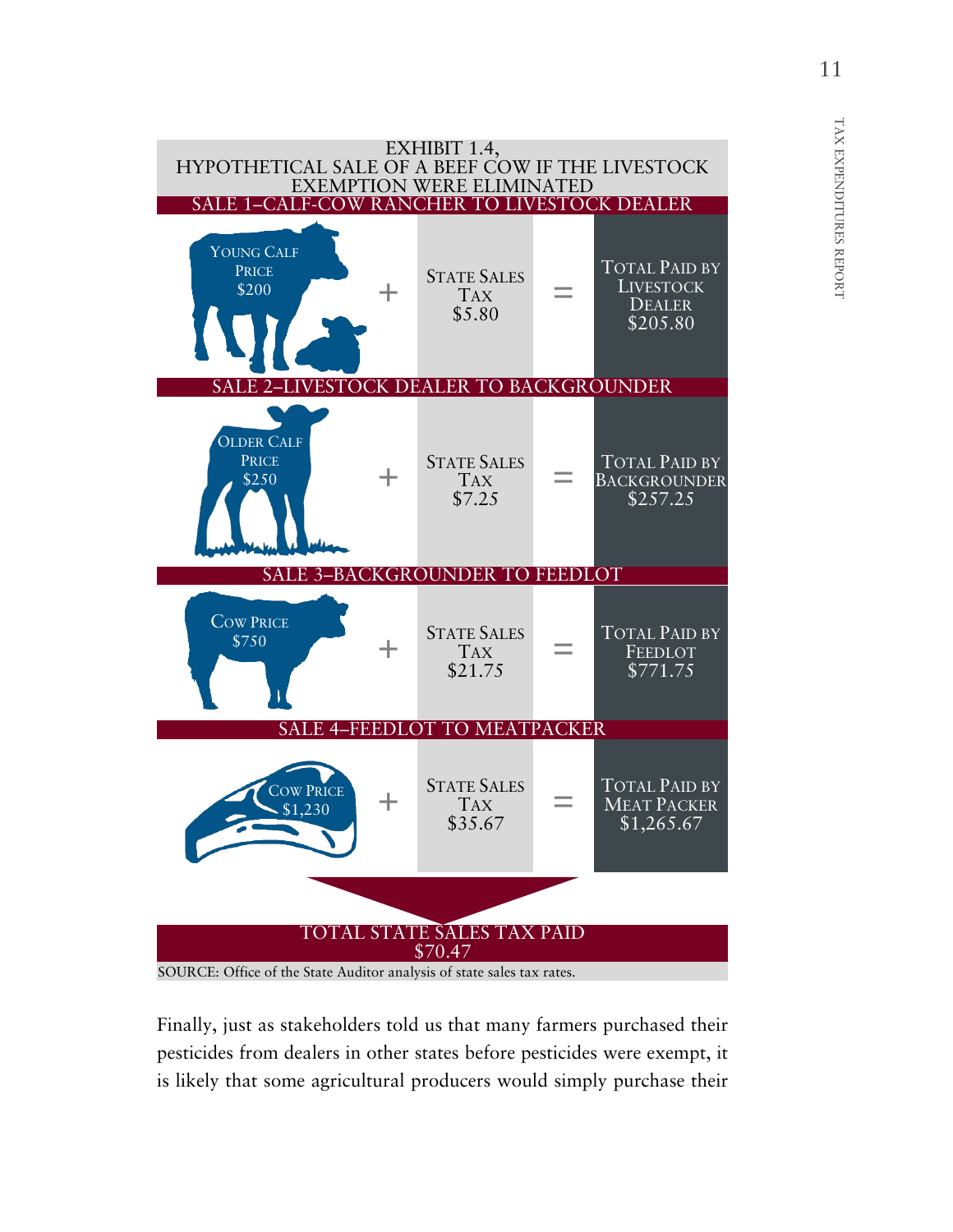

Finally, just as stakeholders told us that many farmers purchased their pesticides from dealers in other states before pesticides were exempt, it is likely that some agricultural producers would simply purchase their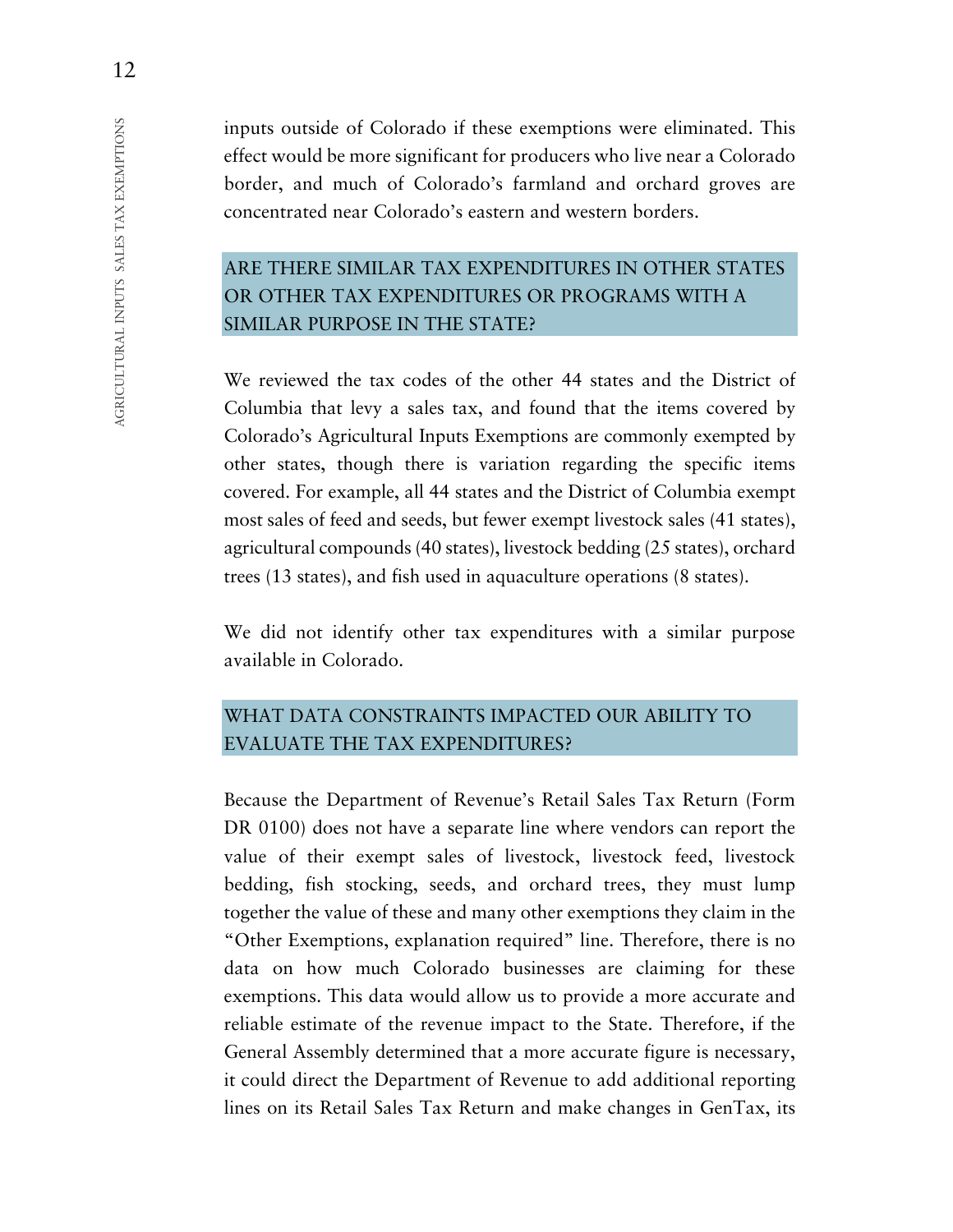inputs outside of Colorado if these exemptions were eliminated. This effect would be more significant for producers who live near a Colorado border, and much of Colorado's farmland and orchard groves are concentrated near Colorado's eastern and western borders.

## ARE THERE SIMILAR TAX EXPENDITURES IN OTHER STATES OR OTHER TAX EXPENDITURES OR PROGRAMS WITH A SIMILAR PURPOSE IN THE STATE?

We reviewed the tax codes of the other 44 states and the District of Columbia that levy a sales tax, and found that the items covered by Colorado's Agricultural Inputs Exemptions are commonly exempted by other states, though there is variation regarding the specific items covered. For example, all 44 states and the District of Columbia exempt most sales of feed and seeds, but fewer exempt livestock sales (41 states), agricultural compounds (40 states), livestock bedding (25 states), orchard trees (13 states), and fish used in aquaculture operations (8 states).

We did not identify other tax expenditures with a similar purpose available in Colorado.

## WHAT DATA CONSTRAINTS IMPACTED OUR ABILITY TO EVALUATE THE TAX EXPENDITURES?

Because the Department of Revenue's Retail Sales Tax Return (Form DR 0100) does not have a separate line where vendors can report the value of their exempt sales of livestock, livestock feed, livestock bedding, fish stocking, seeds, and orchard trees, they must lump together the value of these and many other exemptions they claim in the "Other Exemptions, explanation required" line. Therefore, there is no data on how much Colorado businesses are claiming for these exemptions. This data would allow us to provide a more accurate and reliable estimate of the revenue impact to the State. Therefore, if the General Assembly determined that a more accurate figure is necessary, it could direct the Department of Revenue to add additional reporting lines on its Retail Sales Tax Return and make changes in GenTax, its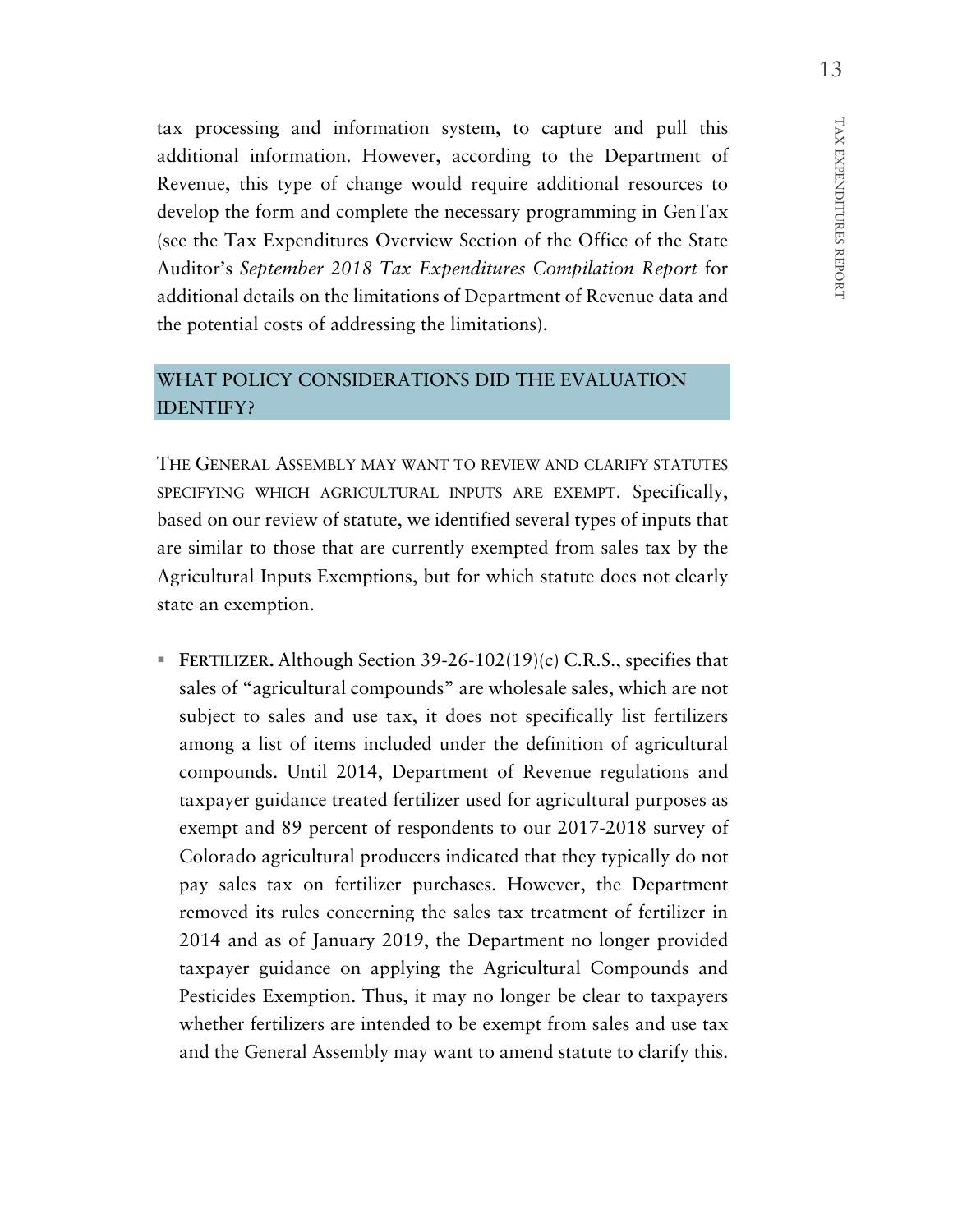tax processing and information system, to capture and pull this additional information. However, according to the Department of Revenue, this type of change would require additional resources to develop the form and complete the necessary programming in GenTax (see the Tax Expenditures Overview Section of the Office of the State Auditor's *September 2018 Tax Expenditures Compilation Report* for additional details on the limitations of Department of Revenue data and the potential costs of addressing the limitations).

## WHAT POLICY CONSIDERATIONS DID THE EVALUATION IDENTIFY?

THE GENERAL ASSEMBLY MAY WANT TO REVIEW AND CLARIFY STATUTES SPECIFYING WHICH AGRICULTURAL INPUTS ARE EXEMPT. Specifically, based on our review of statute, we identified several types of inputs that are similar to those that are currently exempted from sales tax by the Agricultural Inputs Exemptions, but for which statute does not clearly state an exemption.

 **FERTILIZER.** Although Section 39-26-102(19)(c) C.R.S., specifies that sales of "agricultural compounds" are wholesale sales, which are not subject to sales and use tax, it does not specifically list fertilizers among a list of items included under the definition of agricultural compounds. Until 2014, Department of Revenue regulations and taxpayer guidance treated fertilizer used for agricultural purposes as exempt and 89 percent of respondents to our 2017-2018 survey of Colorado agricultural producers indicated that they typically do not pay sales tax on fertilizer purchases. However, the Department removed its rules concerning the sales tax treatment of fertilizer in 2014 and as of January 2019, the Department no longer provided taxpayer guidance on applying the Agricultural Compounds and Pesticides Exemption. Thus, it may no longer be clear to taxpayers whether fertilizers are intended to be exempt from sales and use tax and the General Assembly may want to amend statute to clarify this.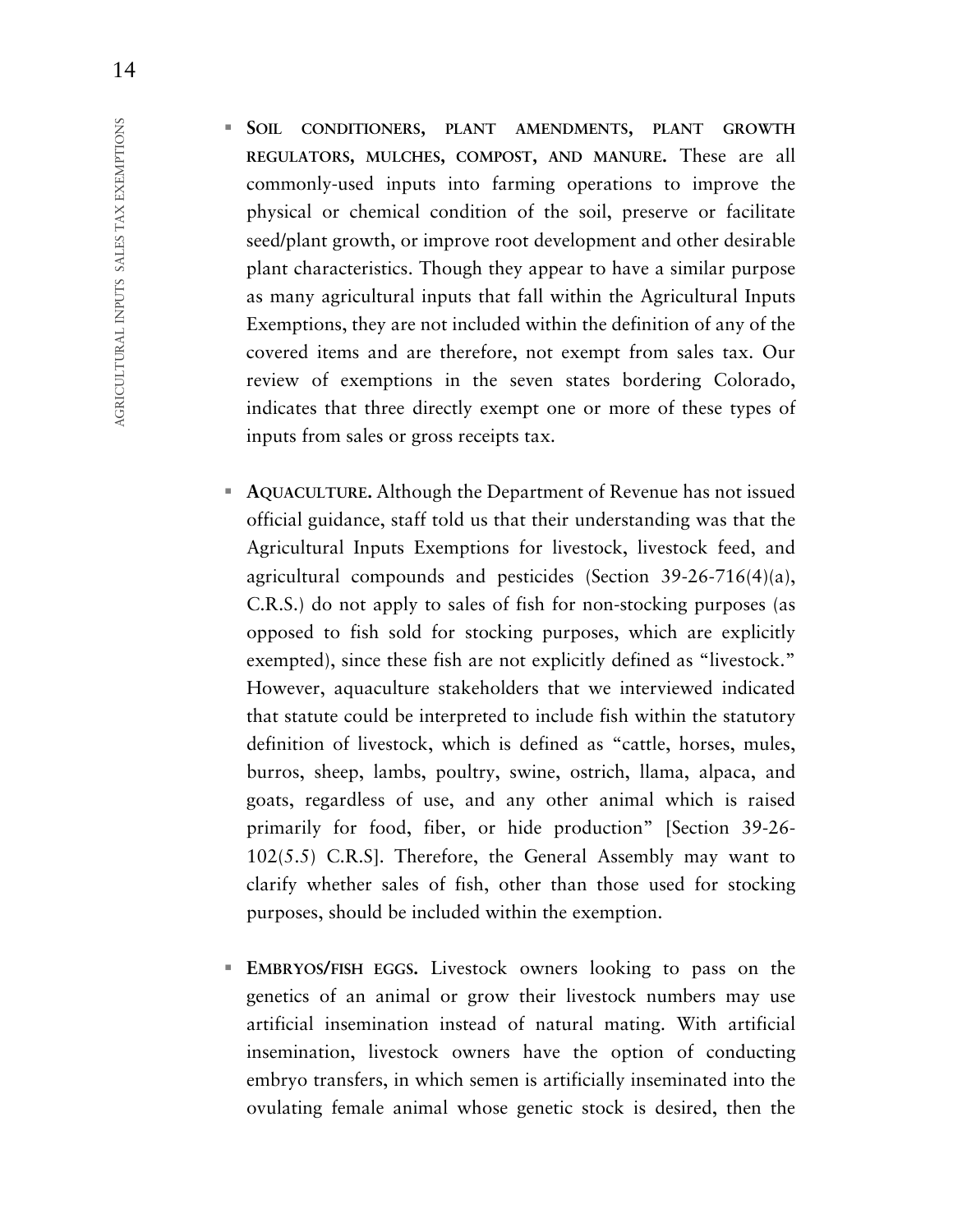**SOIL CONDITIONERS, PLANT AMENDMENTS, PLANT GROWTH REGULATORS, MULCHES, COMPOST, AND MANURE.** These are all commonly-used inputs into farming operations to improve the physical or chemical condition of the soil, preserve or facilitate seed/plant growth, or improve root development and other desirable plant characteristics. Though they appear to have a similar purpose as many agricultural inputs that fall within the Agricultural Inputs Exemptions, they are not included within the definition of any of the covered items and are therefore, not exempt from sales tax. Our review of exemptions in the seven states bordering Colorado, indicates that three directly exempt one or more of these types of inputs from sales or gross receipts tax.

- **AQUACULTURE.** Although the Department of Revenue has not issued official guidance, staff told us that their understanding was that the Agricultural Inputs Exemptions for livestock, livestock feed, and agricultural compounds and pesticides (Section 39-26-716(4)(a), C.R.S.) do not apply to sales of fish for non-stocking purposes (as opposed to fish sold for stocking purposes, which are explicitly exempted), since these fish are not explicitly defined as "livestock." However, aquaculture stakeholders that we interviewed indicated that statute could be interpreted to include fish within the statutory definition of livestock, which is defined as "cattle, horses, mules, burros, sheep, lambs, poultry, swine, ostrich, llama, alpaca, and goats, regardless of use, and any other animal which is raised primarily for food, fiber, or hide production" [Section 39-26- 102(5.5) C.R.S]. Therefore, the General Assembly may want to clarify whether sales of fish, other than those used for stocking purposes, should be included within the exemption.
- **EMBRYOS/FISH EGGS.** Livestock owners looking to pass on the genetics of an animal or grow their livestock numbers may use artificial insemination instead of natural mating. With artificial insemination, livestock owners have the option of conducting embryo transfers, in which semen is artificially inseminated into the ovulating female animal whose genetic stock is desired, then the